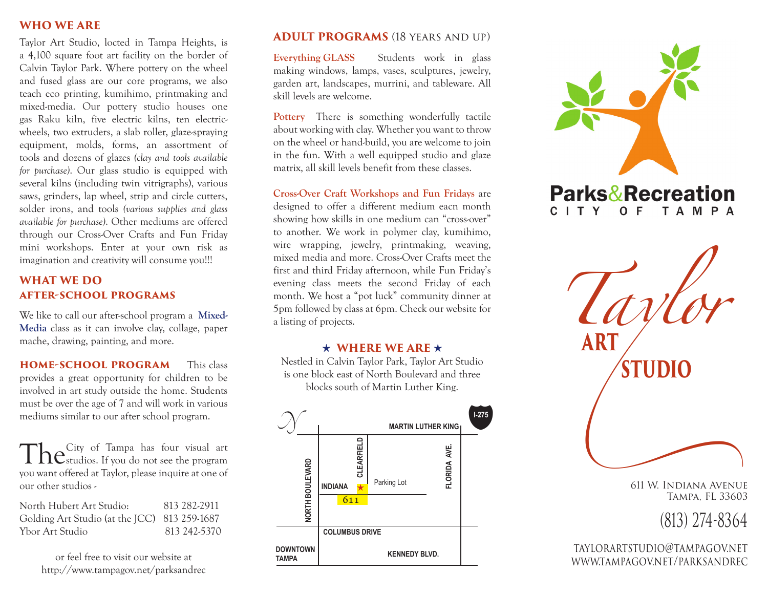## **WHO WE ARE**

Taylor Art Studio, locted in Tampa Heights, is a 4,100 square foot art facility on the border of Calvin Taylor Park. Where pottery on the wheel and fused glass are our core programs, we also teach eco printing, kumihimo, printmaking and mixed-media. Our pottery studio houses one gas Raku kiln, five electric kilns, ten electricwheels, two extruders, a slab roller, glaze-spraying equipment, molds, forms, an assortment of tools and dozens of glazes *(clay and tools available for purchase)*. Our glass studio is equipped with several kilns (including twin vitrigraphs), various saws, grinders, lap wheel, strip and circle cutters, solder irons, and tools *(various supplies and glass available for purchase)*. Other mediums are offered through our Cross-Over Crafts and Fun Friday mini workshops. Enter at your own risk as imagination and creativity will consume you!!!

## **WHAT WE DO after-school programs**

We like to call our after-school program a **Mixed-Media** class as it can involve clay, collage, paper mache, drawing, painting, and more.

**home-school program** This class provides a great opportunity for children to be involved in art study outside the home. Students must be over the age of 7 and will work in various mediums similar to our after school program.

The City of Tampa has four visual art<br>
The studios. If you do not see the program you want offered at Taylor, please inquire at one of our other studios -

North Hubert Art Studio: 813 282-2911 Golding Art Studio (at the JCC) 813 259-1687 Ybor Art Studio 813 242-5370

or feel free to visit our website at http://www.tampagov.net/parksandrec

## **ADULT PROGRAMS** (18 years and up)

**Everything GLASS** Students work in glass making windows, lamps, vases, sculptures, jewelry, garden art, landscapes, murrini, and tableware. All skill levels are welcome.

**Pottery** There is something wonderfully tactile about working with clay. Whether you want to throw on the wheel or hand-build, you are welcome to join in the fun. With a well equipped studio and glaze matrix, all skill levels benefit from these classes.

**Cross-Over Craft Workshops and Fun Fridays** are designed to offer a different medium eacn month showing how skills in one medium can "cross-over" to another. We work in polymer clay, kumihimo, wire wrapping, jewelry, printmaking, weaving, mixed media and more. Cross-Over Crafts meet the first and third Friday afternoon, while Fun Friday's evening class meets the second Friday of each month. We host a "pot luck" community dinner at 5pm followed by class at 6pm. Check our website for a listing of projects.

## $\star$  WHERE WE ARE  $\star$

Nestled in Calvin Taylor Park, Taylor Art Studio is one block east of North Boulevard and three blocks south of Martin Luther King.





<sup>611</sup> W. Indiana Avenue Tampa, FL 33603

(813) 274-8364

taylorartstudio@tampagov.net www.tampagov.net/parksandrec